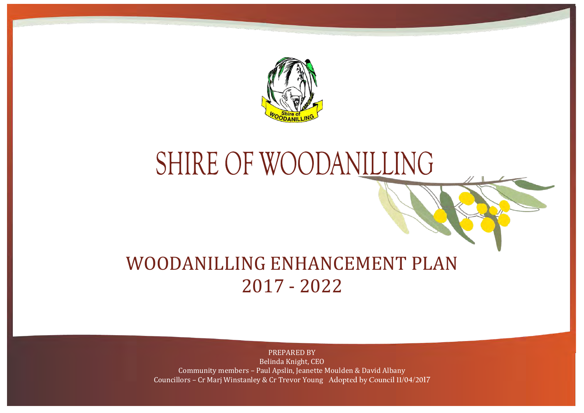

# SHIRE OF WOODANILLING

# WOODANILLING ENHANCEMENT PLAN 2017 - 2022

### PREPARED BY

Belinda Knight, CEO Community members – Paul Apslin, Jeanette Moulden & David Albany Councillors – Cr Marj Winstanley & Cr Trevor Young **Adopted by Council 11/04/2017**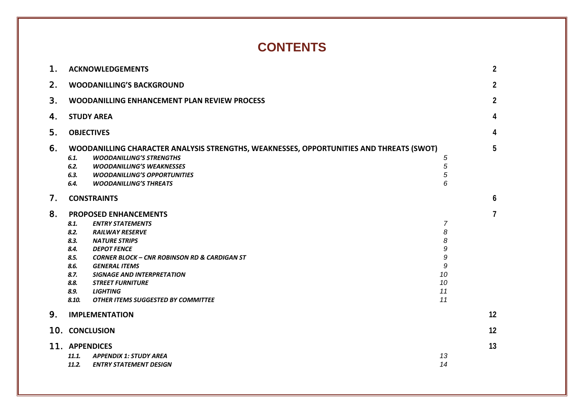### **CONTENTS**

| 1. | <b>ACKNOWLEDGEMENTS</b>                                                                                                                                                                                                                                                                                                                                                                                                             |                                                                 | $\overline{2}$ |
|----|-------------------------------------------------------------------------------------------------------------------------------------------------------------------------------------------------------------------------------------------------------------------------------------------------------------------------------------------------------------------------------------------------------------------------------------|-----------------------------------------------------------------|----------------|
| 2. | <b>WOODANILLING'S BACKGROUND</b>                                                                                                                                                                                                                                                                                                                                                                                                    |                                                                 | $\overline{2}$ |
| 3. | WOODANILLING ENHANCEMENT PLAN REVIEW PROCESS                                                                                                                                                                                                                                                                                                                                                                                        |                                                                 | $\overline{2}$ |
| 4. | <b>STUDY AREA</b>                                                                                                                                                                                                                                                                                                                                                                                                                   |                                                                 | 4              |
| 5. | <b>OBJECTIVES</b>                                                                                                                                                                                                                                                                                                                                                                                                                   |                                                                 | 4              |
| 6. | WOODANILLING CHARACTER ANALYSIS STRENGTHS, WEAKNESSES, OPPORTUNITIES AND THREATS (SWOT)<br>6.1.<br><b>WOODANILLING'S STRENGTHS</b><br>6.2.<br><b>WOODANILLING'S WEAKNESSES</b><br>6.3.<br><b>WOODANILLING'S OPPORTUNITIES</b><br>6.4.<br><b>WOODANILLING'S THREATS</b>                                                                                                                                                              | 5<br>5<br>5<br>6                                                | 5              |
| 7. | <b>CONSTRAINTS</b>                                                                                                                                                                                                                                                                                                                                                                                                                  |                                                                 | 6              |
| 8. | <b>PROPOSED ENHANCEMENTS</b><br>8.1.<br><b>ENTRY STATEMENTS</b><br>8.2.<br><b>RAILWAY RESERVE</b><br>8.3.<br><b>NATURE STRIPS</b><br>8.4.<br><b>DEPOT FENCE</b><br>8.5.<br><b>CORNER BLOCK - CNR ROBINSON RD &amp; CARDIGAN ST</b><br>8.6.<br><b>GENERAL ITEMS</b><br>8.7.<br><b>SIGNAGE AND INTERPRETATION</b><br>8.8.<br><b>STREET FURNITURE</b><br>8.9.<br><b>LIGHTING</b><br>8.10.<br><b>OTHER ITEMS SUGGESTED BY COMMITTEE</b> | $\overline{7}$<br>8<br>8<br>9<br>9<br>9<br>10<br>10<br>11<br>11 | $\overline{7}$ |
| 9. | <b>IMPLEMENTATION</b>                                                                                                                                                                                                                                                                                                                                                                                                               |                                                                 | 12             |
|    | 10. CONCLUSION                                                                                                                                                                                                                                                                                                                                                                                                                      |                                                                 | 12             |
|    | 11. APPENDICES<br>11.1.<br><b>APPENDIX 1: STUDY AREA</b><br>11.2.<br><b>ENTRY STATEMENT DESIGN</b>                                                                                                                                                                                                                                                                                                                                  | 13<br>14                                                        | 13             |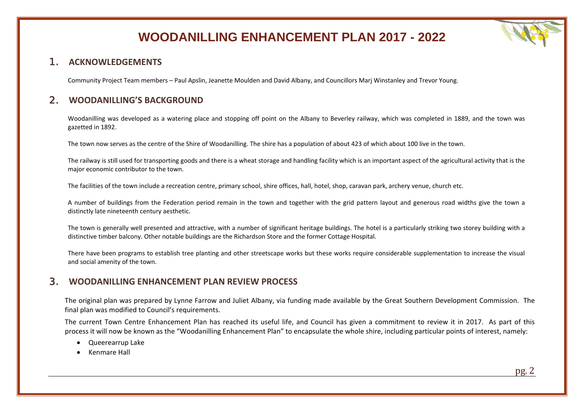

### <span id="page-2-0"></span>1. **ACKNOWLEDGEMENTS**

Community Project Team members – Paul Apslin, Jeanette Moulden and David Albany, and Councillors Marj Winstanley and Trevor Young.

### <span id="page-2-1"></span>2. **WOODANILLING'S BACKGROUND**

Woodanilling was developed as a watering place and stopping off point on the Albany to Beverley railway, which was completed in 1889, and the town was gazetted in 1892.

The town now serves as the centre of the Shire of Woodanilling. The shire has a population of about 423 of which about 100 live in the town.

The railway is still used for transporting goods and there is a wheat storage and handling facility which is an important aspect of the agricultural activity that is the major economic contributor to the town.

The facilities of the town include a recreation centre, primary school, shire offices, hall, hotel, shop, caravan park, archery venue, church etc.

A number of buildings from the Federation period remain in the town and together with the grid pattern layout and generous road widths give the town a distinctly late nineteenth century aesthetic.

The town is generally well presented and attractive, with a number of significant heritage buildings. The hotel is a particularly striking two storey building with a distinctive timber balcony. Other notable buildings are the Richardson Store and the former Cottage Hospital.

There have been programs to establish tree planting and other streetscape works but these works require considerable supplementation to increase the visual and social amenity of the town.

### <span id="page-2-2"></span>3. **WOODANILLING ENHANCEMENT PLAN REVIEW PROCESS**

The original plan was prepared by Lynne Farrow and Juliet Albany, via funding made available by the Great Southern Development Commission. The final plan was modified to Council's requirements.

The current Town Centre Enhancement Plan has reached its useful life, and Council has given a commitment to review it in 2017. As part of this process it will now be known as the "Woodanilling Enhancement Plan" to encapsulate the whole shire, including particular points of interest, namely:

- Queerearrup Lake
- Kenmare Hall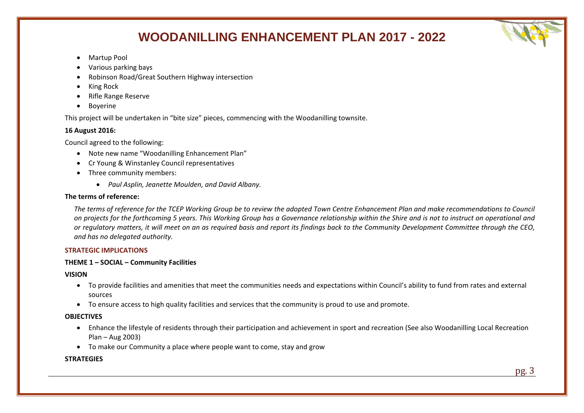

- Martup Pool
- Various parking bays
- Robinson Road/Great Southern Highway intersection
- King Rock
- Rifle Range Reserve
- **Boyerine**

This project will be undertaken in "bite size" pieces, commencing with the Woodanilling townsite.

### **16 August 2016:**

Council agreed to the following:

- Note new name "Woodanilling Enhancement Plan"
- Cr Young & Winstanley Council representatives
- Three community members:
	- *Paul Asplin, Jeanette Moulden, and David Albany.*

#### **The terms of reference:**

*The terms of reference for the TCEP Working Group be to review the adopted Town Centre Enhancement Plan and make recommendations to Council on projects for the forthcoming 5 years. This Working Group has a Governance relationship within the Shire and is not to instruct on operational and or regulatory matters, it will meet on an as required basis and report its findings back to the Community Development Committee through the CEO, and has no delegated authority.*

### **STRATEGIC IMPLICATIONS**

### **THEME 1 – SOCIAL – Community Facilities**

**VISION**

- To provide facilities and amenities that meet the communities needs and expectations within Council's ability to fund from rates and external sources
- To ensure access to high quality facilities and services that the community is proud to use and promote.

### **OBJECTIVES**

- Enhance the lifestyle of residents through their participation and achievement in sport and recreation (See also Woodanilling Local Recreation Plan – Aug 2003)
- To make our Community a place where people want to come, stay and grow

### **STRATEGIES**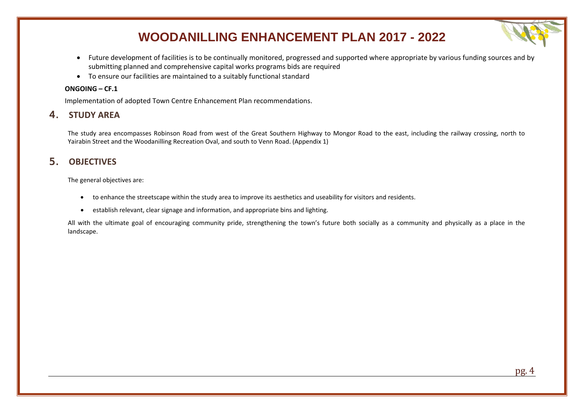- Future development of facilities is to be continually monitored, progressed and supported where appropriate by various funding sources and by submitting planned and comprehensive capital works programs bids are required
- To ensure our facilities are maintained to a suitably functional standard

#### **ONGOING – CF.1**

Implementation of adopted Town Centre Enhancement Plan recommendations.

### <span id="page-4-0"></span>4. **STUDY AREA**

The study area encompasses Robinson Road from west of the Great Southern Highway to Mongor Road to the east, including the railway crossing, north to Yairabin Street and the Woodanilling Recreation Oval, and south to Venn Road. (Appendix 1)

### <span id="page-4-1"></span>5. **OBJECTIVES**

The general objectives are:

- to enhance the streetscape within the study area to improve its aesthetics and useability for visitors and residents.
- establish relevant, clear signage and information, and appropriate bins and lighting.

All with the ultimate goal of encouraging community pride, strengthening the town's future both socially as a community and physically as a place in the landscape.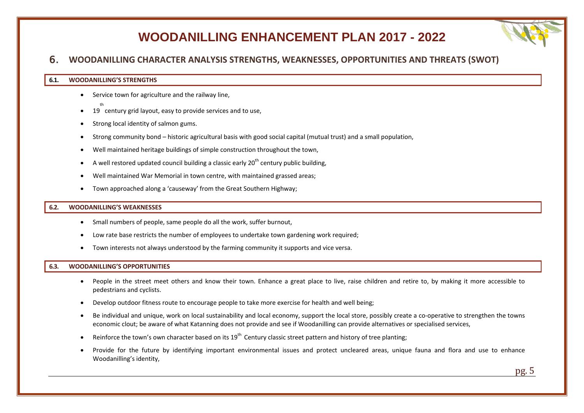### <span id="page-5-0"></span>6. **WOODANILLING CHARACTER ANALYSIS STRENGTHS, WEAKNESSES, OPPORTUNITIES AND THREATS (SWOT)**

#### <span id="page-5-1"></span>**6.1. WOODANILLING'S STRENGTHS**

- Service town for agriculture and the railway line,
- $19$  century grid layout, easy to provide services and to use,
- Strong local identity of salmon gums.
- Strong community bond historic agricultural basis with good social capital (mutual trust) and a small population,
- Well maintained heritage buildings of simple construction throughout the town,
- A well restored updated council building a classic early  $20<sup>th</sup>$  century public building.
- Well maintained War Memorial in town centre, with maintained grassed areas;
- Town approached along a 'causeway' from the Great Southern Highway;

#### <span id="page-5-2"></span>**6.2. WOODANILLING'S WEAKNESSES**

- Small numbers of people, same people do all the work, suffer burnout,
- Low rate base restricts the number of employees to undertake town gardening work required;
- Town interests not always understood by the farming community it supports and vice versa.

#### <span id="page-5-3"></span>**6.3. WOODANILLING'S OPPORTUNITIES**

- People in the street meet others and know their town. Enhance a great place to live, raise children and retire to, by making it more accessible to pedestrians and cyclists.
- Develop outdoor fitness route to encourage people to take more exercise for health and well being;
- Be individual and unique, work on local sustainability and local economy, support the local store, possibly create a co-operative to strengthen the towns economic clout; be aware of what Katanning does not provide and see if Woodanilling can provide alternatives or specialised services,
- Reinforce the town's own character based on its  $19^{th}$  Century classic street pattern and history of tree planting;
- Provide for the future by identifying important environmental issues and protect uncleared areas, unique fauna and flora and use to enhance Woodanilling's identity,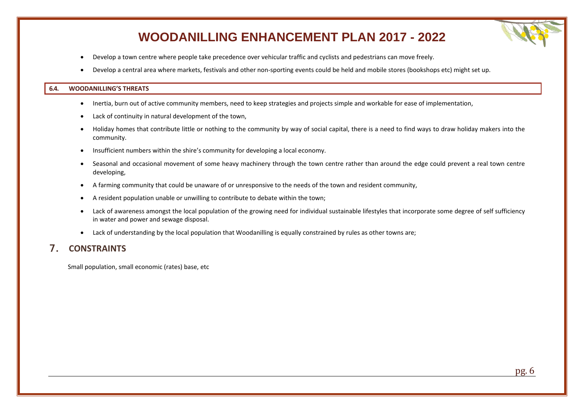- Develop a town centre where people take precedence over vehicular traffic and cyclists and pedestrians can move freely.
- Develop a central area where markets, festivals and other non-sporting events could be held and mobile stores (bookshops etc) might set up.

#### <span id="page-6-0"></span>**6.4. WOODANILLING'S THREATS**

- Inertia, burn out of active community members, need to keep strategies and projects simple and workable for ease of implementation,
- Lack of continuity in natural development of the town,
- Holiday homes that contribute little or nothing to the community by way of social capital, there is a need to find ways to draw holiday makers into the community.
- Insufficient numbers within the shire's community for developing a local economy.
- Seasonal and occasional movement of some heavy machinery through the town centre rather than around the edge could prevent a real town centre developing,
- A farming community that could be unaware of or unresponsive to the needs of the town and resident community,
- A resident population unable or unwilling to contribute to debate within the town;
- Lack of awareness amongst the local population of the growing need for individual sustainable lifestyles that incorporate some degree of self sufficiency in water and power and sewage disposal.
- Lack of understanding by the local population that Woodanilling is equally constrained by rules as other towns are;

### <span id="page-6-1"></span>7. **CONSTRAINTS**

Small population, small economic (rates) base, etc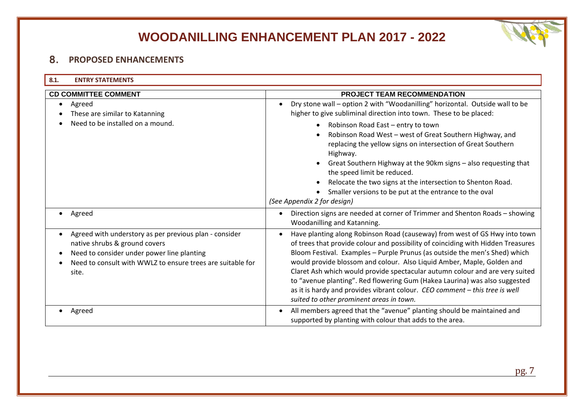

### <span id="page-7-0"></span>8. **PROPOSED ENHANCEMENTS**

<span id="page-7-1"></span>

| 8.1.<br><b>ENTRY STATEMENTS</b>                                                                                                                                                                                           |                                                                                                                                                                                                                                                                                                                                                                                                                                                                                                                                                                                                                              |  |
|---------------------------------------------------------------------------------------------------------------------------------------------------------------------------------------------------------------------------|------------------------------------------------------------------------------------------------------------------------------------------------------------------------------------------------------------------------------------------------------------------------------------------------------------------------------------------------------------------------------------------------------------------------------------------------------------------------------------------------------------------------------------------------------------------------------------------------------------------------------|--|
| <b>CD COMMITTEE COMMENT</b><br>PROJECT TEAM RECOMMENDATION                                                                                                                                                                |                                                                                                                                                                                                                                                                                                                                                                                                                                                                                                                                                                                                                              |  |
| Agreed<br>$\bullet$<br>These are similar to Katanning                                                                                                                                                                     | Dry stone wall - option 2 with "Woodanilling" horizontal. Outside wall to be<br>$\bullet$<br>higher to give subliminal direction into town. These to be placed:                                                                                                                                                                                                                                                                                                                                                                                                                                                              |  |
| Need to be installed on a mound.                                                                                                                                                                                          | Robinson Road East - entry to town<br>$\bullet$<br>Robinson Road West - west of Great Southern Highway, and<br>replacing the yellow signs on intersection of Great Southern<br>Highway.<br>Great Southern Highway at the 90km signs - also requesting that<br>the speed limit be reduced.<br>Relocate the two signs at the intersection to Shenton Road.<br>Smaller versions to be put at the entrance to the oval<br>(See Appendix 2 for design)                                                                                                                                                                            |  |
| Agreed<br>$\bullet$                                                                                                                                                                                                       | Direction signs are needed at corner of Trimmer and Shenton Roads - showing<br>$\bullet$<br>Woodanilling and Katanning.                                                                                                                                                                                                                                                                                                                                                                                                                                                                                                      |  |
| Agreed with understory as per previous plan - consider<br>$\bullet$<br>native shrubs & ground covers<br>Need to consider under power line planting<br>Need to consult with WWLZ to ensure trees are suitable for<br>site. | Have planting along Robinson Road (causeway) from west of GS Hwy into town<br>$\bullet$<br>of trees that provide colour and possibility of coinciding with Hidden Treasures<br>Bloom Festival. Examples - Purple Prunus (as outside the men's Shed) which<br>would provide blossom and colour. Also Liquid Amber, Maple, Golden and<br>Claret Ash which would provide spectacular autumn colour and are very suited<br>to "avenue planting". Red flowering Gum (Hakea Laurina) was also suggested<br>as it is hardy and provides vibrant colour. CEO comment - this tree is well<br>suited to other prominent areas in town. |  |
| Agreed                                                                                                                                                                                                                    | All members agreed that the "avenue" planting should be maintained and<br>supported by planting with colour that adds to the area.                                                                                                                                                                                                                                                                                                                                                                                                                                                                                           |  |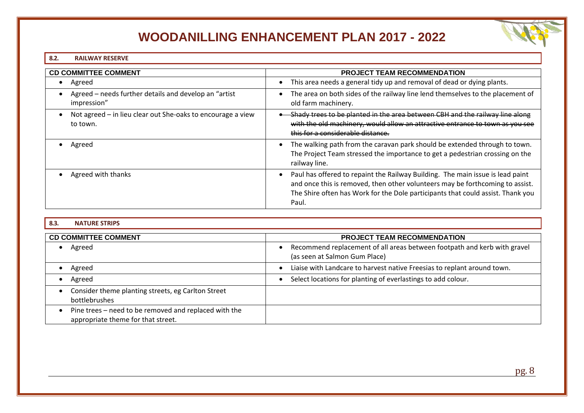### <span id="page-8-0"></span>**8.2. RAILWAY RESERVE**

| <b>CD COMMITTEE COMMENT</b>                                             | PROJECT TEAM RECOMMENDATION                                                                                                                                                                                                                                 |  |
|-------------------------------------------------------------------------|-------------------------------------------------------------------------------------------------------------------------------------------------------------------------------------------------------------------------------------------------------------|--|
| Agreed                                                                  | This area needs a general tidy up and removal of dead or dying plants.<br>$\bullet$                                                                                                                                                                         |  |
| Agreed – needs further details and develop an "artist"<br>impression"   | The area on both sides of the railway line lend themselves to the placement of<br>old farm machinery.                                                                                                                                                       |  |
| Not agreed - in lieu clear out She-oaks to encourage a view<br>to town. | Shady trees to be planted in the area between CBH and the railway line along<br>with the old machinery, would allow an attractive entrance to town as you see<br>this for a considerable distance.                                                          |  |
| Agreed                                                                  | The walking path from the caravan park should be extended through to town.<br>The Project Team stressed the importance to get a pedestrian crossing on the<br>railway line.                                                                                 |  |
| Agreed with thanks                                                      | Paul has offered to repaint the Railway Building. The main issue is lead paint<br>and once this is removed, then other volunteers may be forthcoming to assist.<br>The Shire often has Work for the Dole participants that could assist. Thank you<br>Paul. |  |

### <span id="page-8-1"></span>**8.3. NATURE STRIPS**

| <b>CD COMMITTEE COMMENT</b>                                                                 | <b>PROJECT TEAM RECOMMENDATION</b>                                                                        |
|---------------------------------------------------------------------------------------------|-----------------------------------------------------------------------------------------------------------|
| Agreed                                                                                      | Recommend replacement of all areas between footpath and kerb with gravel<br>(as seen at Salmon Gum Place) |
| Agreed                                                                                      | Liaise with Landcare to harvest native Freesias to replant around town.                                   |
| Agreed                                                                                      | Select locations for planting of everlastings to add colour.                                              |
| Consider theme planting streets, eg Carlton Street<br>bottlebrushes                         |                                                                                                           |
| Pine trees – need to be removed and replaced with the<br>appropriate theme for that street. |                                                                                                           |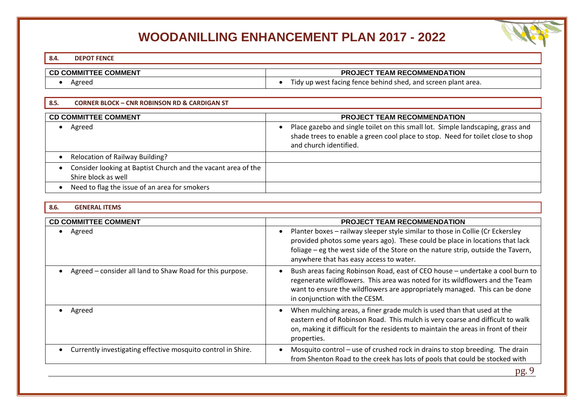### <span id="page-9-0"></span>**8.4. DEPOT FENCE**

### **CD COMMITTEE COMMENT PROJECT TEAM RECOMMENDATION**

<span id="page-9-1"></span>• Agreed • Agreed • Tidy up west facing fence behind shed, and screen plant area.

| 8.5.<br><b>CORNER BLOCK - CNR ROBINSON RD &amp; CARDIGAN ST</b>                      |                                                                                                                                                                                                           |
|--------------------------------------------------------------------------------------|-----------------------------------------------------------------------------------------------------------------------------------------------------------------------------------------------------------|
| <b>CD COMMITTEE COMMENT</b><br><b>PROJECT TEAM RECOMMENDATION</b>                    |                                                                                                                                                                                                           |
| Agreed                                                                               | Place gazebo and single toilet on this small lot. Simple landscaping, grass and<br>$\bullet$<br>shade trees to enable a green cool place to stop. Need for toilet close to shop<br>and church identified. |
| <b>Relocation of Railway Building?</b>                                               |                                                                                                                                                                                                           |
| Consider looking at Baptist Church and the vacant area of the<br>Shire block as well |                                                                                                                                                                                                           |
| Need to flag the issue of an area for smokers                                        |                                                                                                                                                                                                           |

#### <span id="page-9-2"></span>**8.6. GENERAL ITEMS**

| <b>CD COMMITTEE COMMENT</b>                                  | <b>PROJECT TEAM RECOMMENDATION</b>                                                                                                                                                                                                                                                                         |  |
|--------------------------------------------------------------|------------------------------------------------------------------------------------------------------------------------------------------------------------------------------------------------------------------------------------------------------------------------------------------------------------|--|
| Agreed                                                       | Planter boxes - railway sleeper style similar to those in Collie (Cr Eckersley<br>$\bullet$<br>provided photos some years ago). These could be place in locations that lack<br>foliage – eg the west side of the Store on the nature strip, outside the Tavern,<br>anywhere that has easy access to water. |  |
| Agreed – consider all land to Shaw Road for this purpose.    | Bush areas facing Robinson Road, east of CEO house - undertake a cool burn to<br>$\bullet$<br>regenerate wildflowers. This area was noted for its wildflowers and the Team<br>want to ensure the wildflowers are appropriately managed. This can be done<br>in conjunction with the CESM.                  |  |
| Agreed                                                       | When mulching areas, a finer grade mulch is used than that used at the<br>$\bullet$<br>eastern end of Robinson Road. This mulch is very coarse and difficult to walk<br>on, making it difficult for the residents to maintain the areas in front of their<br>properties.                                   |  |
| Currently investigating effective mosquito control in Shire. | Mosquito control – use of crushed rock in drains to stop breeding. The drain<br>from Shenton Road to the creek has lots of pools that could be stocked with                                                                                                                                                |  |
|                                                              | $- - \alpha$                                                                                                                                                                                                                                                                                               |  |

pg. 9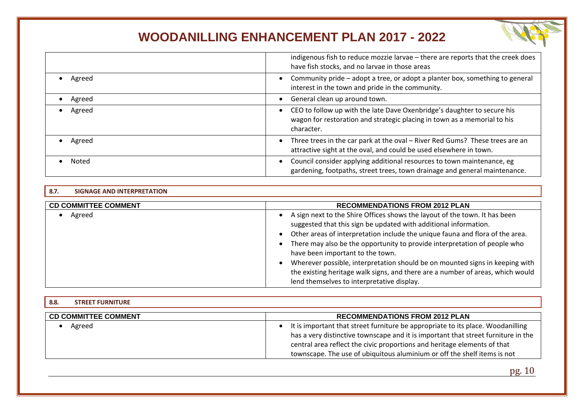|        | indigenous fish to reduce mozzie larvae - there are reports that the creek does<br>have fish stocks, and no larvae in those areas                                 |
|--------|-------------------------------------------------------------------------------------------------------------------------------------------------------------------|
| Agreed | Community pride - adopt a tree, or adopt a planter box, something to general<br>interest in the town and pride in the community.                                  |
| Agreed | General clean up around town.                                                                                                                                     |
| Agreed | CEO to follow up with the late Dave Oxenbridge's daughter to secure his<br>wagon for restoration and strategic placing in town as a memorial to his<br>character. |
| Agreed | Three trees in the car park at the oval - River Red Gums? These trees are an<br>attractive sight at the oval, and could be used elsewhere in town.                |
| Noted  | Council consider applying additional resources to town maintenance, eg<br>gardening, footpaths, street trees, town drainage and general maintenance.              |

#### <span id="page-10-0"></span>**8.7. SIGNAGE AND INTERPRETATION**

| <b>CD COMMITTEE COMMENT</b> | <b>RECOMMENDATIONS FROM 2012 PLAN</b>                                                                                                                                                                                                                                                                                                                                                                                                                                                                                                                                                                                |
|-----------------------------|----------------------------------------------------------------------------------------------------------------------------------------------------------------------------------------------------------------------------------------------------------------------------------------------------------------------------------------------------------------------------------------------------------------------------------------------------------------------------------------------------------------------------------------------------------------------------------------------------------------------|
| Agreed                      | A sign next to the Shire Offices shows the layout of the town. It has been<br>$\bullet$<br>suggested that this sign be updated with additional information.<br>Other areas of interpretation include the unique fauna and flora of the area.<br>$\bullet$<br>There may also be the opportunity to provide interpretation of people who<br>$\bullet$<br>have been important to the town.<br>Wherever possible, interpretation should be on mounted signs in keeping with<br>$\bullet$<br>the existing heritage walk signs, and there are a number of areas, which would<br>lend themselves to interpretative display. |

### <span id="page-10-1"></span>**8.8. STREET FURNITURE CD COMMITTEE COMMENT RECOMMENDATIONS FROM 2012 PLAN** • Agreed • and that street furniture be appropriate to its place. Woodanilling has a very distinctive townscape and it is important that street furniture in the central area reflect the civic proportions and heritage elements of that townscape. The use of ubiquitous aluminium or off the shelf items is not

pg. 10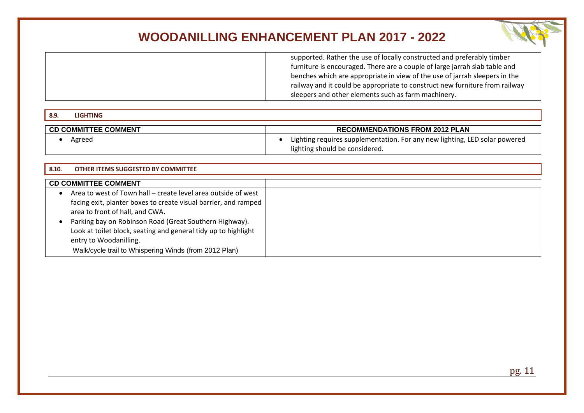

supported. Rather the use of locally constructed and preferably timber furniture is encouraged. There are a couple of large jarrah slab table and benches which are appropriate in view of the use of jarrah sleepers in the railway and it could be appropriate to construct new furniture from railway sleepers and other elements such as farm machinery.

### <span id="page-11-0"></span>**8.9. LIGHTING CD COMMITTEE COMMENT RECOMMENDATIONS FROM 2012 PLAN** • Agreed • and the Lighting requires supplementation. For any new lighting, LED solar powered

lighting should be considered.

<span id="page-11-1"></span>

| 8.10.<br><b>OTHER ITEMS SUGGESTED BY COMMITTEE</b>                                                     |  |
|--------------------------------------------------------------------------------------------------------|--|
| <b>CD COMMITTEE COMMENT</b>                                                                            |  |
| Area to west of Town hall – create level area outside of west<br>$\bullet$                             |  |
| facing exit, planter boxes to create visual barrier, and ramped                                        |  |
| area to front of hall, and CWA.<br>Parking bay on Robinson Road (Great Southern Highway).<br>$\bullet$ |  |
| Look at toilet block, seating and general tidy up to highlight<br>entry to Woodanilling.               |  |
| Walk/cycle trail to Whispering Winds (from 2012 Plan)                                                  |  |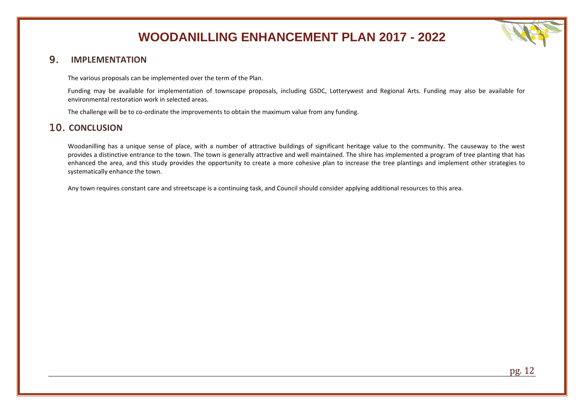

### <span id="page-12-0"></span>9. **IMPLEMENTATION**

The various proposals can be implemented over the term of the Plan.

Funding may be available for implementation of townscape proposals, including GSDC, Lotterywest and Regional Arts. Funding may also be available for environmental restoration work in selected areas.

The challenge will be to co-ordinate the improvements to obtain the maximum value from any funding.

### <span id="page-12-1"></span>10. **CONCLUSION**

Woodanilling has a unique sense of place, with a number of attractive buildings of significant heritage value to the community. The causeway to the west provides a distinctive entrance to the town. The town is generally attractive and well maintained. The shire has implemented a program of tree planting that has enhanced the area, and this study provides the opportunity to create a more cohesive plan to increase the tree plantings and implement other strategies to systematically enhance the town.

Any town requires constant care and streetscape is a continuing task, and Council should consider applying additional resources to this area.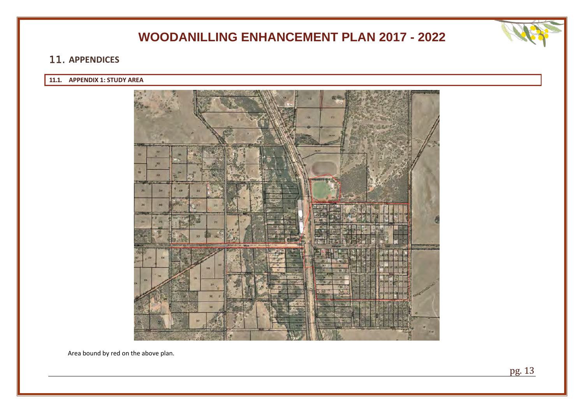### <span id="page-13-0"></span>11. **APPENDICES**

### <span id="page-13-1"></span>**11.1. APPENDIX 1: STUDY AREA**



Area bound by red on the above plan.